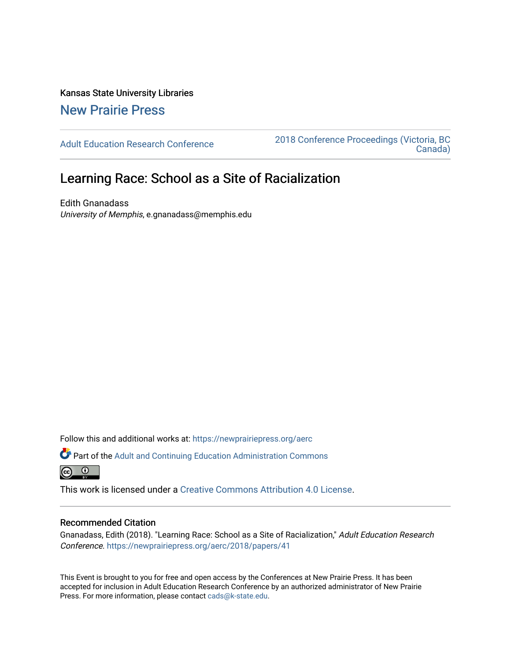Kansas State University Libraries [New Prairie Press](https://newprairiepress.org/) 

[Adult Education Research Conference](https://newprairiepress.org/aerc) [2018 Conference Proceedings \(Victoria, BC](https://newprairiepress.org/aerc/2018)  [Canada\)](https://newprairiepress.org/aerc/2018) 

# Learning Race: School as a Site of Racialization

Edith Gnanadass University of Memphis, e.gnanadass@memphis.edu

Follow this and additional works at: [https://newprairiepress.org/aerc](https://newprairiepress.org/aerc?utm_source=newprairiepress.org%2Faerc%2F2018%2Fpapers%2F41&utm_medium=PDF&utm_campaign=PDFCoverPages)

Part of the [Adult and Continuing Education Administration Commons](http://network.bepress.com/hgg/discipline/789?utm_source=newprairiepress.org%2Faerc%2F2018%2Fpapers%2F41&utm_medium=PDF&utm_campaign=PDFCoverPages)  $\odot$   $\odot$ 

This work is licensed under a [Creative Commons Attribution 4.0 License](https://creativecommons.org/licenses/by/4.0/).

# Recommended Citation

Gnanadass, Edith (2018). "Learning Race: School as a Site of Racialization," Adult Education Research Conference.<https://newprairiepress.org/aerc/2018/papers/41>

This Event is brought to you for free and open access by the Conferences at New Prairie Press. It has been accepted for inclusion in Adult Education Research Conference by an authorized administrator of New Prairie Press. For more information, please contact [cads@k-state.edu.](mailto:cads@k-state.edu)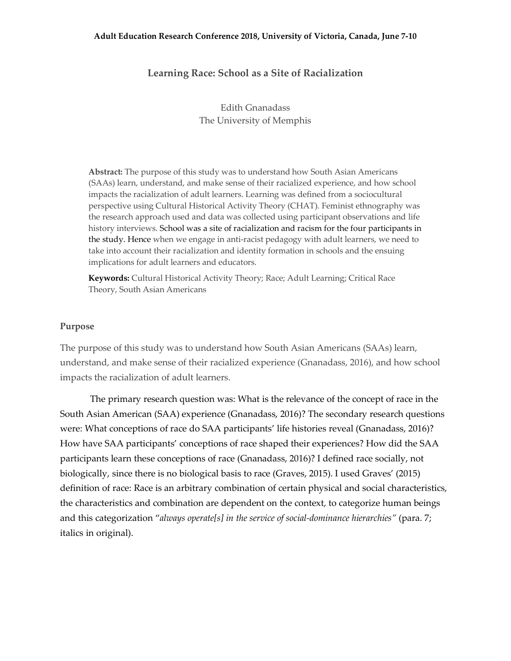#### **Adult Education Research Conference 2018, University of Victoria, Canada, June 7-10**

# **Learning Race: School as a Site of Racialization**

Edith Gnanadass The University of Memphis

**Abstract:** The purpose of this study was to understand how South Asian Americans (SAAs) learn, understand, and make sense of their racialized experience, and how school impacts the racialization of adult learners. Learning was defined from a sociocultural perspective using Cultural Historical Activity Theory (CHAT). Feminist ethnography was the research approach used and data was collected using participant observations and life history interviews. School was a site of racialization and racism for the four participants in the study. Hence when we engage in anti-racist pedagogy with adult learners, we need to take into account their racialization and identity formation in schools and the ensuing implications for adult learners and educators.

**Keywords:** Cultural Historical Activity Theory; Race; Adult Learning; Critical Race Theory, South Asian Americans

# **Purpose**

The purpose of this study was to understand how South Asian Americans (SAAs) learn, understand, and make sense of their racialized experience (Gnanadass, 2016), and how school impacts the racialization of adult learners.

The primary research question was: What is the relevance of the concept of race in the South Asian American (SAA) experience (Gnanadass, 2016)? The secondary research questions were: What conceptions of race do SAA participants' life histories reveal (Gnanadass, 2016)? How have SAA participants' conceptions of race shaped their experiences? How did the SAA participants learn these conceptions of race (Gnanadass, 2016)? I defined race socially, not biologically, since there is no biological basis to race (Graves, 2015). I used Graves' (2015) definition of race: Race is an arbitrary combination of certain physical and social characteristics, the characteristics and combination are dependent on the context, to categorize human beings and this categorization "*always operate[s] in the service of social-dominance hierarchies"* (para. 7; italics in original).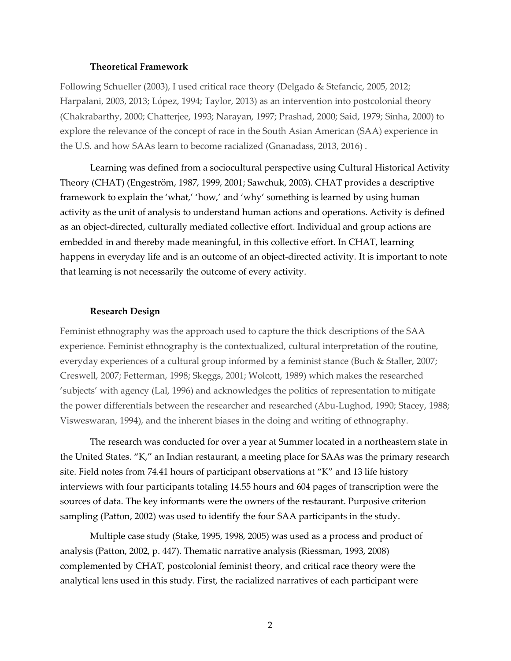#### **Theoretical Framework**

Following Schueller (2003), I used critical race theory (Delgado & Stefancic, 2005, 2012; Harpalani, 2003, 2013; López, 1994; Taylor, 2013) as an intervention into postcolonial theory (Chakrabarthy, 2000; Chatterjee, 1993; Narayan, 1997; Prashad, 2000; Said, 1979; Sinha, 2000) to explore the relevance of the concept of race in the South Asian American (SAA) experience in the U.S. and how SAAs learn to become racialized (Gnanadass, 2013, 2016) .

Learning was defined from a sociocultural perspective using Cultural Historical Activity Theory (CHAT) (Engeström, 1987, 1999, 2001; Sawchuk, 2003). CHAT provides a descriptive framework to explain the 'what,' 'how,' and 'why' something is learned by using human activity as the unit of analysis to understand human actions and operations. Activity is defined as an object-directed, culturally mediated collective effort. Individual and group actions are embedded in and thereby made meaningful, in this collective effort. In CHAT, learning happens in everyday life and is an outcome of an object-directed activity. It is important to note that learning is not necessarily the outcome of every activity.

#### **Research Design**

Feminist ethnography was the approach used to capture the thick descriptions of the SAA experience. Feminist ethnography is the contextualized, cultural interpretation of the routine, everyday experiences of a cultural group informed by a feminist stance (Buch & Staller, 2007; Creswell, 2007; Fetterman, 1998; Skeggs, 2001; Wolcott, 1989) which makes the researched 'subjects' with agency (Lal, 1996) and acknowledges the politics of representation to mitigate the power differentials between the researcher and researched (Abu-Lughod, 1990; Stacey, 1988; Visweswaran, 1994), and the inherent biases in the doing and writing of ethnography.

The research was conducted for over a year at Summer located in a northeastern state in the United States. "K," an Indian restaurant, a meeting place for SAAs was the primary research site. Field notes from 74.41 hours of participant observations at "K" and 13 life history interviews with four participants totaling 14.55 hours and 604 pages of transcription were the sources of data. The key informants were the owners of the restaurant. Purposive criterion sampling (Patton, 2002) was used to identify the four SAA participants in the study.

Multiple case study (Stake, 1995, 1998, 2005) was used as a process and product of analysis (Patton, 2002, p. 447). Thematic narrative analysis (Riessman, 1993, 2008) complemented by CHAT, postcolonial feminist theory, and critical race theory were the analytical lens used in this study. First, the racialized narratives of each participant were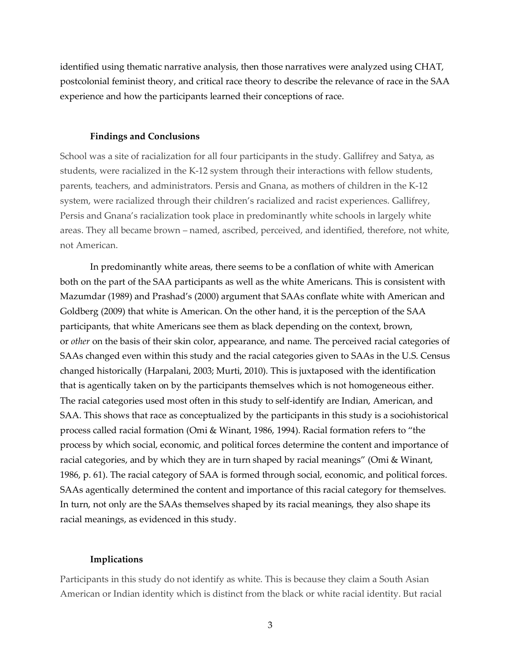identified using thematic narrative analysis, then those narratives were analyzed using CHAT, postcolonial feminist theory, and critical race theory to describe the relevance of race in the SAA experience and how the participants learned their conceptions of race.

#### **Findings and Conclusions**

School was a site of racialization for all four participants in the study. Gallifrey and Satya, as students, were racialized in the K-12 system through their interactions with fellow students, parents, teachers, and administrators. Persis and Gnana, as mothers of children in the K-12 system, were racialized through their children's racialized and racist experiences. Gallifrey, Persis and Gnana's racialization took place in predominantly white schools in largely white areas. They all became brown – named, ascribed, perceived, and identified, therefore, not white, not American.

In predominantly white areas, there seems to be a conflation of white with American both on the part of the SAA participants as well as the white Americans. This is consistent with Mazumdar (1989) and Prashad's (2000) argument that SAAs conflate white with American and Goldberg (2009) that white is American. On the other hand, it is the perception of the SAA participants, that white Americans see them as black depending on the context, brown, or *other* on the basis of their skin color, appearance, and name. The perceived racial categories of SAAs changed even within this study and the racial categories given to SAAs in the U.S. Census changed historically (Harpalani, 2003; Murti, 2010). This is juxtaposed with the identification that is agentically taken on by the participants themselves which is not homogeneous either. The racial categories used most often in this study to self-identify are Indian, American, and SAA. This shows that race as conceptualized by the participants in this study is a sociohistorical process called racial formation (Omi & Winant, 1986, 1994). Racial formation refers to "the process by which social, economic, and political forces determine the content and importance of racial categories, and by which they are in turn shaped by racial meanings" (Omi & Winant, 1986, p. 61). The racial category of SAA is formed through social, economic, and political forces. SAAs agentically determined the content and importance of this racial category for themselves. In turn, not only are the SAAs themselves shaped by its racial meanings, they also shape its racial meanings, as evidenced in this study.

### **Implications**

Participants in this study do not identify as white. This is because they claim a South Asian American or Indian identity which is distinct from the black or white racial identity. But racial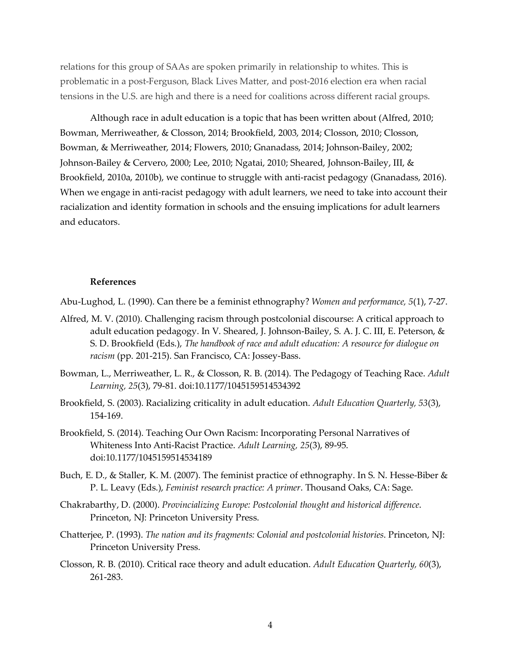relations for this group of SAAs are spoken primarily in relationship to whites. This is problematic in a post-Ferguson, Black Lives Matter, and post-2016 election era when racial tensions in the U.S. are high and there is a need for coalitions across different racial groups.

Although race in adult education is a topic that has been written about (Alfred, 2010; Bowman, Merriweather, & Closson, 2014; Brookfield, 2003, 2014; Closson, 2010; Closson, Bowman, & Merriweather, 2014; Flowers, 2010; Gnanadass, 2014; Johnson-Bailey, 2002; Johnson-Bailey & Cervero, 2000; Lee, 2010; Ngatai, 2010; Sheared, Johnson-Bailey, III, & Brookfield, 2010a, 2010b), we continue to struggle with anti-racist pedagogy (Gnanadass, 2016). When we engage in anti-racist pedagogy with adult learners, we need to take into account their racialization and identity formation in schools and the ensuing implications for adult learners and educators.

#### **References**

Abu-Lughod, L. (1990). Can there be a feminist ethnography? *Women and performance, 5*(1), 7-27.

- Alfred, M. V. (2010). Challenging racism through postcolonial discourse: A critical approach to adult education pedagogy. In V. Sheared, J. Johnson-Bailey, S. A. J. C. III, E. Peterson, & S. D. Brookfield (Eds.), *The handbook of race and adult education: A resource for dialogue on racism* (pp. 201-215). San Francisco, CA: Jossey-Bass.
- Bowman, L., Merriweather, L. R., & Closson, R. B. (2014). The Pedagogy of Teaching Race. *Adult Learning, 25*(3), 79-81. doi:10.1177/1045159514534392
- Brookfield, S. (2003). Racializing criticality in adult education. *Adult Education Quarterly, 53*(3), 154-169.
- Brookfield, S. (2014). Teaching Our Own Racism: Incorporating Personal Narratives of Whiteness Into Anti-Racist Practice. *Adult Learning, 25*(3), 89-95. doi:10.1177/1045159514534189
- Buch, E. D., & Staller, K. M. (2007). The feminist practice of ethnography. In S. N. Hesse-Biber & P. L. Leavy (Eds.), *Feminist research practice: A primer*. Thousand Oaks, CA: Sage.
- Chakrabarthy, D. (2000). *Provincializing Europe: Postcolonial thought and historical difference*. Princeton, NJ: Princeton University Press.
- Chatterjee, P. (1993). *The nation and its fragments: Colonial and postcolonial histories*. Princeton, NJ: Princeton University Press.
- Closson, R. B. (2010). Critical race theory and adult education. *Adult Education Quarterly, 60*(3), 261-283.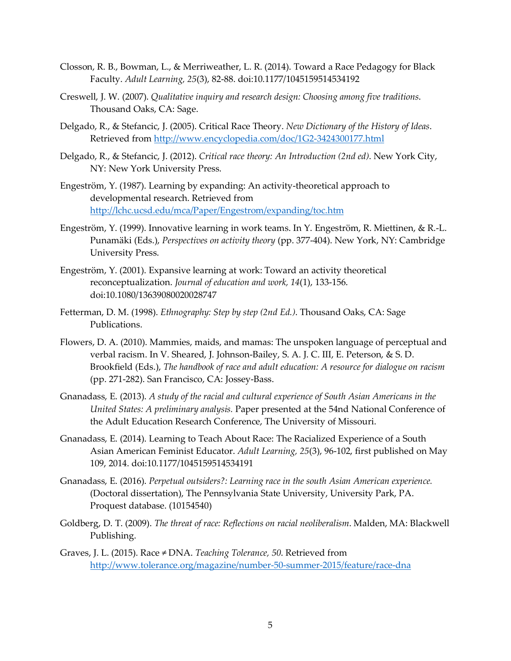- Closson, R. B., Bowman, L., & Merriweather, L. R. (2014). Toward a Race Pedagogy for Black Faculty. *Adult Learning, 25*(3), 82-88. doi:10.1177/1045159514534192
- Creswell, J. W. (2007). *Qualitative inquiry and research design: Choosing among five traditions*. Thousand Oaks, CA: Sage.
- Delgado, R., & Stefancic, J. (2005). Critical Race Theory. *New Dictionary of the History of Ideas*. Retrieved from http://www.encyclopedia.com/doc/1G2-3424300177.html
- Delgado, R., & Stefancic, J. (2012). *Critical race theory: An Introduction (2nd ed)*. New York City, NY: New York University Press.
- Engeström, Y. (1987). Learning by expanding: An activity-theoretical approach to developmental research. Retrieved from http://lchc.ucsd.edu/mca/Paper/Engestrom/expanding/toc.htm
- Engeström, Y. (1999). Innovative learning in work teams. In Y. Engeström, R. Miettinen, & R.-L. Punamäki (Eds.), *Perspectives on activity theory* (pp. 377-404). New York, NY: Cambridge University Press.
- Engeström, Y. (2001). Expansive learning at work: Toward an activity theoretical reconceptualization. *Journal of education and work, 14*(1), 133-156. doi:10.1080/13639080020028747
- Fetterman, D. M. (1998). *Ethnography: Step by step (2nd Ed.)*. Thousand Oaks, CA: Sage Publications.
- Flowers, D. A. (2010). Mammies, maids, and mamas: The unspoken language of perceptual and verbal racism. In V. Sheared, J. Johnson-Bailey, S. A. J. C. III, E. Peterson, & S. D. Brookfield (Eds.), *The handbook of race and adult education: A resource for dialogue on racism* (pp. 271-282). San Francisco, CA: Jossey-Bass.
- Gnanadass, E. (2013). *A study of the racial and cultural experience of South Asian Americans in the United States: A preliminary analysis.* Paper presented at the 54nd National Conference of the Adult Education Research Conference, The University of Missouri.
- Gnanadass, E. (2014). Learning to Teach About Race: The Racialized Experience of a South Asian American Feminist Educator. *Adult Learning, 25*(3), 96-102, first published on May 109, 2014. doi:10.1177/1045159514534191
- Gnanadass, E. (2016). *Perpetual outsiders?: Learning race in the south Asian American experience.* (Doctoral dissertation), The Pennsylvania State University, University Park, PA. Proquest database. (10154540)
- Goldberg, D. T. (2009). *The threat of race: Reflections on racial neoliberalism*. Malden, MA: Blackwell Publishing.
- Graves, J. L. (2015). Race ≠ DNA. *Teaching Tolerance, 50*. Retrieved from http://www.tolerance.org/magazine/number-50-summer-2015/feature/race-dna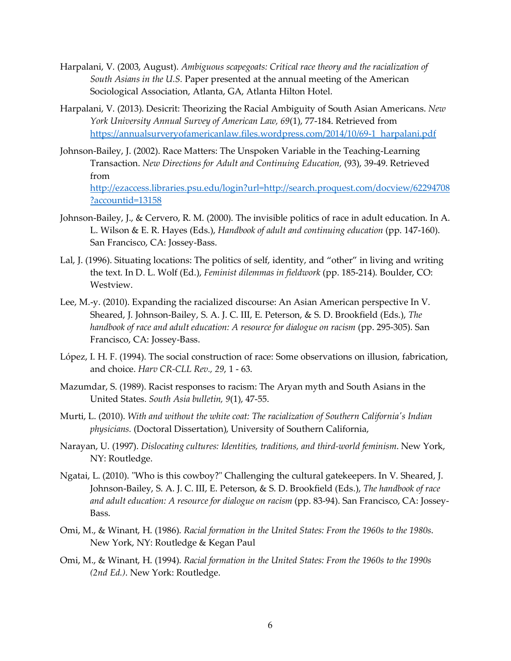- Harpalani, V. (2003, August). *Ambiguous scapegoats: Critical race theory and the racialization of South Asians in the U.S.* Paper presented at the annual meeting of the American Sociological Association, Atlanta, GA, Atlanta Hilton Hotel.
- Harpalani, V. (2013). Desicrit: Theorizing the Racial Ambiguity of South Asian Americans. *New York University Annual Survey of American Law, 69*(1), 77-184. Retrieved from https://annualsurveryofamericanlaw.files.wordpress.com/2014/10/69-1\_harpalani.pdf
- Johnson-Bailey, J. (2002). Race Matters: The Unspoken Variable in the Teaching-Learning Transaction. *New Directions for Adult and Continuing Education,* (93), 39-49. Retrieved from http://ezaccess.libraries.psu.edu/login?url=http://search.proquest.com/docview/62294708 ?accountid=13158
- Johnson-Bailey, J., & Cervero, R. M. (2000). The invisible politics of race in adult education. In A. L. Wilson & E. R. Hayes (Eds.), *Handbook of adult and continuing education* (pp. 147-160). San Francisco, CA: Jossey-Bass.
- Lal, J. (1996). Situating locations: The politics of self, identity, and "other" in living and writing the text. In D. L. Wolf (Ed.), *Feminist dilemmas in fieldwork* (pp. 185-214). Boulder, CO: Westview.
- Lee, M.-y. (2010). Expanding the racialized discourse: An Asian American perspective In V. Sheared, J. Johnson-Bailey, S. A. J. C. III, E. Peterson, & S. D. Brookfield (Eds.), *The handbook of race and adult education: A resource for dialogue on racism* (pp. 295-305). San Francisco, CA: Jossey-Bass.
- López, I. H. F. (1994). The social construction of race: Some observations on illusion, fabrication, and choice. *Harv CR-CLL Rev., 29*, 1 - 63.
- Mazumdar, S. (1989). Racist responses to racism: The Aryan myth and South Asians in the United States. *South Asia bulletin, 9*(1), 47-55.
- Murti, L. (2010). *With and without the white coat: The racialization of Southern California's Indian physicians.* (Doctoral Dissertation), University of Southern California,
- Narayan, U. (1997). *Dislocating cultures: Identities, traditions, and third-world feminism*. New York, NY: Routledge.
- Ngatai, L. (2010). "Who is this cowboy?" Challenging the cultural gatekeepers. In V. Sheared, J. Johnson-Bailey, S. A. J. C. III, E. Peterson, & S. D. Brookfield (Eds.), *The handbook of race and adult education: A resource for dialogue on racism* (pp. 83-94). San Francisco, CA: Jossey-Bass.
- Omi, M., & Winant, H. (1986). *Racial formation in the United States: From the 1960s to the 1980s*. New York, NY: Routledge & Kegan Paul
- Omi, M., & Winant, H. (1994). *Racial formation in the United States: From the 1960s to the 1990s (2nd Ed.)*. New York: Routledge.